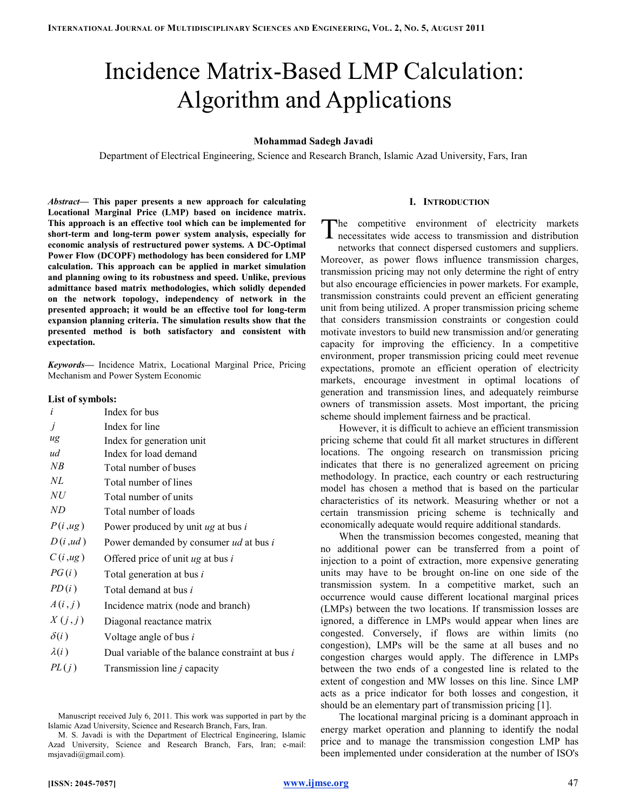# Incidence Matrix-Based LMP Calculation: Algorithm and Applications

## Mohammad Sadegh Javadi

Department of Electrical Engineering, Science and Research Branch, Islamic Azad University, Fars, Iran

Abstract— This paper presents a new approach for calculating Locational Marginal Price (LMP) based on incidence matrix. This approach is an effective tool which can be implemented for short-term and long-term power system analysis, especially for economic analysis of restructured power systems. A DC-Optimal Power Flow (DCOPF) methodology has been considered for LMP calculation. This approach can be applied in market simulation and planning owing to its robustness and speed. Unlike, previous admittance based matrix methodologies, which solidly depended on the network topology, independency of network in the presented approach; it would be an effective tool for long-term expansion planning criteria. The simulation results show that the presented method is both satisfactory and consistent with expectation.

Keywords— Incidence Matrix, Locational Marginal Price, Pricing Mechanism and Power System Economic

|  |  | List of symbols: |  |  |
|--|--|------------------|--|--|
|--|--|------------------|--|--|

| i            | Index for bus                                    |
|--------------|--------------------------------------------------|
|              | Index for line                                   |
| $u$ g        | Index for generation unit                        |
| ud           | Index for load demand                            |
| NB           | Total number of buses                            |
| NL           | Total number of lines                            |
| NU           | Total number of units                            |
| ND           | Total number of loads                            |
| P(i, ug)     | Power produced by unit $ug$ at bus $i$           |
| D(i, ud)     | Power demanded by consumer ud at bus i           |
| C(i, ug)     | Offered price of unit $ug$ at bus $i$            |
| PG(i)        | Total generation at bus <i>i</i>                 |
| PD(i)        | Total demand at bus i                            |
| A(i,j)       | Incidence matrix (node and branch)               |
| X(j,j)       | Diagonal reactance matrix                        |
| $\delta(i)$  | Voltage angle of bus i                           |
| $\lambda(i)$ | Dual variable of the balance constraint at bus i |
| PL(j)        | Transmission line <i>j</i> capacity              |
|              |                                                  |

Manuscript received July 6, 2011. This work was supported in part by the Islamic Azad University, Science and Research Branch, Fars, Iran.

#### I. INTRODUCTION

he competitive environment of electricity markets The competitive environment of electricity markets<br>necessitates wide access to transmission and distribution

networks that connect dispersed customers and suppliers. Moreover, as power flows influence transmission charges, transmission pricing may not only determine the right of entry but also encourage efficiencies in power markets. For example, transmission constraints could prevent an efficient generating unit from being utilized. A proper transmission pricing scheme that considers transmission constraints or congestion could motivate investors to build new transmission and/or generating capacity for improving the efficiency. In a competitive environment, proper transmission pricing could meet revenue expectations, promote an efficient operation of electricity markets, encourage investment in optimal locations of generation and transmission lines, and adequately reimburse owners of transmission assets. Most important, the pricing scheme should implement fairness and be practical.

However, it is difficult to achieve an efficient transmission pricing scheme that could fit all market structures in different locations. The ongoing research on transmission pricing indicates that there is no generalized agreement on pricing methodology. In practice, each country or each restructuring model has chosen a method that is based on the particular characteristics of its network. Measuring whether or not a certain transmission pricing scheme is technically and economically adequate would require additional standards.

When the transmission becomes congested, meaning that no additional power can be transferred from a point of injection to a point of extraction, more expensive generating units may have to be brought on-line on one side of the transmission system. In a competitive market, such an occurrence would cause different locational marginal prices (LMPs) between the two locations. If transmission losses are ignored, a difference in LMPs would appear when lines are congested. Conversely, if flows are within limits (no congestion), LMPs will be the same at all buses and no congestion charges would apply. The difference in LMPs between the two ends of a congested line is related to the extent of congestion and MW losses on this line. Since LMP acts as a price indicator for both losses and congestion, it should be an elementary part of transmission pricing [1].

The locational marginal pricing is a dominant approach in energy market operation and planning to identify the nodal price and to manage the transmission congestion LMP has been implemented under consideration at the number of ISO's

M. S. Javadi is with the Department of Electrical Engineering, Islamic Azad University, Science and Research Branch, Fars, Iran; e-mail: msjavadi@gmail.com).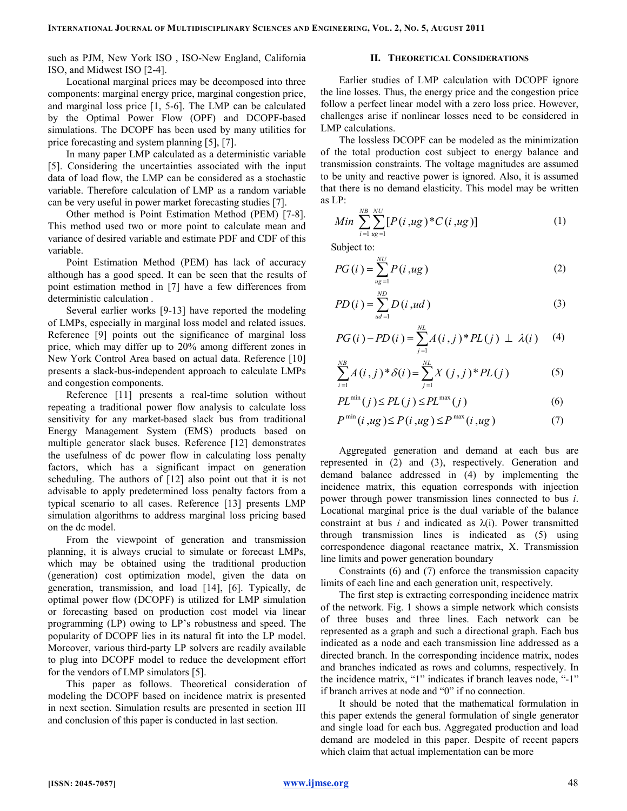such as PJM, New York ISO , ISO-New England, California ISO, and Midwest ISO [2-4].

Locational marginal prices may be decomposed into three components: marginal energy price, marginal congestion price, and marginal loss price [1, 5-6]. The LMP can be calculated by the Optimal Power Flow (OPF) and DCOPF-based simulations. The DCOPF has been used by many utilities for price forecasting and system planning [5], [7].

In many paper LMP calculated as a deterministic variable [5]. Considering the uncertainties associated with the input data of load flow, the LMP can be considered as a stochastic variable. Therefore calculation of LMP as a random variable can be very useful in power market forecasting studies [7].

Other method is Point Estimation Method (PEM) [7-8]. This method used two or more point to calculate mean and variance of desired variable and estimate PDF and CDF of this variable.

Point Estimation Method (PEM) has lack of accuracy although has a good speed. It can be seen that the results of point estimation method in [7] have a few differences from deterministic calculation .

Several earlier works [9-13] have reported the modeling of LMPs, especially in marginal loss model and related issues. Reference [9] points out the significance of marginal loss price, which may differ up to 20% among different zones in New York Control Area based on actual data. Reference [10] presents a slack-bus-independent approach to calculate LMPs and congestion components.

Reference [11] presents a real-time solution without repeating a traditional power flow analysis to calculate loss sensitivity for any market-based slack bus from traditional Energy Management System (EMS) products based on multiple generator slack buses. Reference [12] demonstrates the usefulness of dc power flow in calculating loss penalty factors, which has a significant impact on generation scheduling. The authors of [12] also point out that it is not advisable to apply predetermined loss penalty factors from a typical scenario to all cases. Reference [13] presents LMP simulation algorithms to address marginal loss pricing based on the dc model.

From the viewpoint of generation and transmission planning, it is always crucial to simulate or forecast LMPs, which may be obtained using the traditional production (generation) cost optimization model, given the data on generation, transmission, and load [14], [6]. Typically, dc optimal power flow (DCOPF) is utilized for LMP simulation or forecasting based on production cost model via linear programming (LP) owing to LP's robustness and speed. The popularity of DCOPF lies in its natural fit into the LP model. Moreover, various third-party LP solvers are readily available to plug into DCOPF model to reduce the development effort for the vendors of LMP simulators [5].

This paper as follows. Theoretical consideration of modeling the DCOPF based on incidence matrix is presented in next section. Simulation results are presented in section III and conclusion of this paper is conducted in last section.

# II. THEORETICAL CONSIDERATIONS

Earlier studies of LMP calculation with DCOPF ignore the line losses. Thus, the energy price and the congestion price follow a perfect linear model with a zero loss price. However, challenges arise if nonlinear losses need to be considered in LMP calculations.

The lossless DCOPF can be modeled as the minimization of the total production cost subject to energy balance and transmission constraints. The voltage magnitudes are assumed to be unity and reactive power is ignored. Also, it is assumed that there is no demand elasticity. This model may be written as LP:

Min 
$$
\sum_{i=1}^{NB} \sum_{u g=1}^{NU} [P(i, u g)*C(i, u g)]
$$
 (1)

Subject to:

$$
PG(i) = \sum_{ug=1}^{NU} P(i, ug)
$$
 (2)

$$
PD(i) = \sum_{ud=1}^{ND} D(i, ud)
$$
 (3)

$$
PG(i) - PD(i) = \sum_{j=1}^{NL} A(i,j)^* PL(j) \perp \lambda(i) \quad (4)
$$

$$
\sum_{i=1}^{NB} A(i,j)^* \delta(i) = \sum_{j=1}^{NL} X(j,j)^* PL(j)
$$
 (5)

$$
PL^{\min}(j) \le PL(j) \le PL^{\max}(j)
$$
 (6)

$$
P^{\min}(i, ug) \le P(i, ug) \le P^{\max}(i, ug)
$$
\n<sup>(7)</sup>

Aggregated generation and demand at each bus are represented in (2) and (3), respectively. Generation and demand balance addressed in (4) by implementing the incidence matrix, this equation corresponds with injection power through power transmission lines connected to bus i. Locational marginal price is the dual variable of the balance constraint at bus  $i$  and indicated as  $\lambda(i)$ . Power transmitted through transmission lines is indicated as (5) using correspondence diagonal reactance matrix, X. Transmission line limits and power generation boundary

Constraints (6) and (7) enforce the transmission capacity limits of each line and each generation unit, respectively.

The first step is extracting corresponding incidence matrix of the network. Fig. 1 shows a simple network which consists of three buses and three lines. Each network can be represented as a graph and such a directional graph. Each bus indicated as a node and each transmission line addressed as a directed branch. In the corresponding incidence matrix, nodes and branches indicated as rows and columns, respectively. In the incidence matrix, "1" indicates if branch leaves node, "-1" if branch arrives at node and "0" if no connection.

It should be noted that the mathematical formulation in this paper extends the general formulation of single generator and single load for each bus. Aggregated production and load demand are modeled in this paper. Despite of recent papers which claim that actual implementation can be more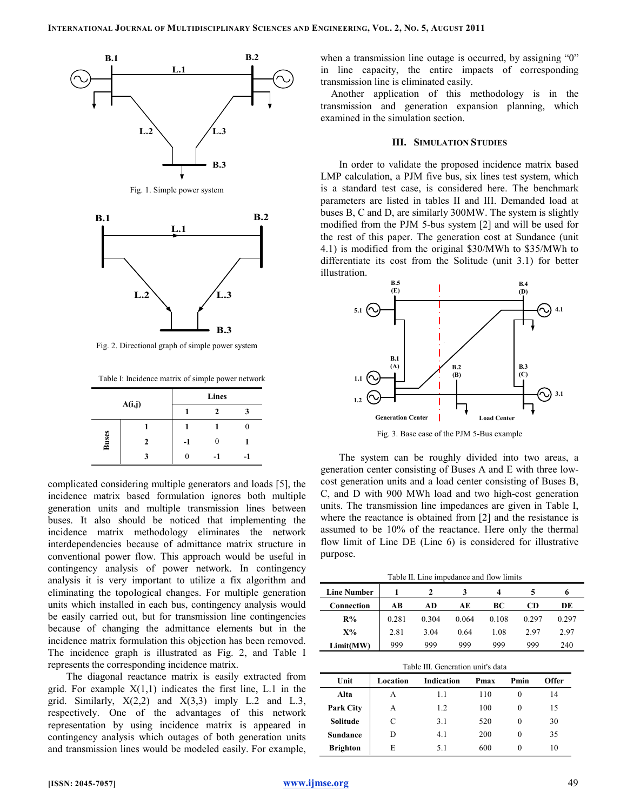

Fig. 2. Directional graph of simple power system

Table I: Incidence matrix of simple power network

| A(i,j) |              |      | Lines |   |
|--------|--------------|------|-------|---|
|        |              |      | 2     | 3 |
|        |              |      |       |   |
| Buses  | $\mathbf{2}$ | $-1$ | 0     |   |
|        | 3            |      |       |   |

complicated considering multiple generators and loads [5], the incidence matrix based formulation ignores both multiple generation units and multiple transmission lines between buses. It also should be noticed that implementing the incidence matrix methodology eliminates the network interdependencies because of admittance matrix structure in conventional power flow. This approach would be useful in contingency analysis of power network. In contingency analysis it is very important to utilize a fix algorithm and eliminating the topological changes. For multiple generation units which installed in each bus, contingency analysis would be easily carried out, but for transmission line contingencies because of changing the admittance elements but in the incidence matrix formulation this objection has been removed. The incidence graph is illustrated as Fig. 2, and Table I represents the corresponding incidence matrix.

The diagonal reactance matrix is easily extracted from grid. For example  $X(1,1)$  indicates the first line, L.1 in the grid. Similarly,  $X(2,2)$  and  $X(3,3)$  imply L.2 and L.3, respectively. One of the advantages of this network representation by using incidence matrix is appeared in contingency analysis which outages of both generation units and transmission lines would be modeled easily. For example,

when a transmission line outage is occurred, by assigning "0" in line capacity, the entire impacts of corresponding transmission line is eliminated easily.

Another application of this methodology is in the transmission and generation expansion planning, which examined in the simulation section.

#### III. SIMULATION STUDIES

In order to validate the proposed incidence matrix based LMP calculation, a PJM five bus, six lines test system, which is a standard test case, is considered here. The benchmark parameters are listed in tables II and III. Demanded load at buses B, C and D, are similarly 300MW. The system is slightly modified from the PJM 5-bus system [2] and will be used for the rest of this paper. The generation cost at Sundance (unit 4.1) is modified from the original \$30/MWh to \$35/MWh to differentiate its cost from the Solitude (unit 3.1) for better illustration.



Fig. 3. Base case of the PJM 5-Bus example

The system can be roughly divided into two areas, a generation center consisting of Buses A and E with three lowcost generation units and a load center consisting of Buses B, C, and D with 900 MWh load and two high-cost generation units. The transmission line impedances are given in Table I, where the reactance is obtained from [2] and the resistance is assumed to be 10% of the reactance. Here only the thermal flow limit of Line DE (Line 6) is considered for illustrative purpose.

Table II. Line impedance and flow limits

| <b>Line Number</b> |       |       |       | 4     |       | 6     |
|--------------------|-------|-------|-------|-------|-------|-------|
| Connection         | AВ    | AD    | AЕ    | BС    | CD    | DE    |
| $R\%$              | 0.281 | 0.304 | 0.064 | 0.108 | 0.297 | 0.297 |
| $X\%$              | 2.81  | 3.04  | 0.64  | 1.08  | 2.97  | 2.97  |
| Limit(MW)          | 999   | 999   | 999   | 999   | 999   | 240   |

| Table III. Generation unit's data |          |                                                   |     |          |    |  |  |  |  |  |
|-----------------------------------|----------|---------------------------------------------------|-----|----------|----|--|--|--|--|--|
| Unit                              | Location | <b>Indication</b><br>Pmin<br><b>Offer</b><br>Pmax |     |          |    |  |  |  |  |  |
| Alta                              | А        | 1.1                                               | 110 | $\Omega$ | 14 |  |  |  |  |  |
| <b>Park City</b>                  | А        | 1.2                                               | 100 | $\Omega$ | 15 |  |  |  |  |  |
| Solitude                          | C        | 3.1                                               | 520 | $\Omega$ | 30 |  |  |  |  |  |
| <b>Sundance</b>                   | D        | 4.1                                               | 200 | $\Omega$ | 35 |  |  |  |  |  |
| <b>Brighton</b>                   | E        | 5.1                                               | 600 | $\Omega$ | 10 |  |  |  |  |  |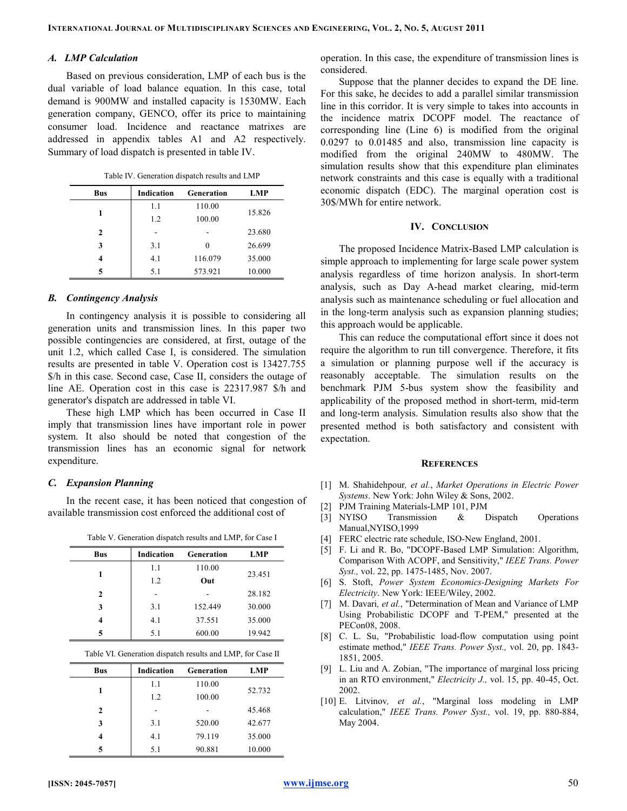## A. LMP Calculation

Based on previous consideration, LMP of each bus is the dual variable of load balance equation. In this case, total demand is 900MW and installed capacity is 1530MW. Each generation company, GENCO, offer its price to maintaining consumer load. Incidence and reactance matrixes are addressed in appendix tables A1 and A2 respectively. Summary of load dispatch is presented in table IV.

Table IV. Generation dispatch results and LMP

| <b>Bus</b> | <b>Indication</b> | Generation | LMP    |
|------------|-------------------|------------|--------|
|            | 1.1               | 110.00     |        |
|            | 1.2               | 100.00     | 15.826 |
| 2          |                   |            | 23.680 |
| 3          | 3.1               | $\theta$   | 26.699 |
| 4          | 4.1               | 116.079    | 35,000 |
| 5          | 5.1               | 573.921    | 10.000 |

## B. Contingency Analysis

In contingency analysis it is possible to considering all generation units and transmission lines. In this paper two possible contingencies are considered, at first, outage of the unit 1.2, which called Case I, is considered. The simulation results are presented in table V. Operation cost is 13427.755 \$/h in this case. Second case, Case II, considers the outage of line AE. Operation cost in this case is 22317.987 \$/h and generator's dispatch are addressed in table VI.

These high LMP which has been occurred in Case II imply that transmission lines have important role in power system. It also should be noted that congestion of the transmission lines has an economic signal for network expenditure.

## C. Expansion Planning

In the recent case, it has been noticed that congestion of available transmission cost enforced the additional cost of

Table V. Generation dispatch results and LMP, for Case I

| <b>Bus</b> | Indication | Generation | LMP    |  |
|------------|------------|------------|--------|--|
|            | 1.1        | 110.00     | 23.451 |  |
|            | 1.2        | Out        |        |  |
| 2          |            |            | 28.182 |  |
| 3          | 3.1        | 152.449    | 30.000 |  |
| 4          | 4.1        | 37.551     | 35.000 |  |
| 5          | 5.1        | 600.00     | 19.942 |  |

| <b>Bus</b>   | Indication | Generation | LMP    |
|--------------|------------|------------|--------|
|              | 1.1        | 110.00     | 52.732 |
| 1            | 1.2        | 100.00     |        |
| $\mathbf{2}$ |            |            | 45.468 |
| 3            | 3.1        | 520.00     | 42.677 |
| 4            | 4.1        | 79.119     | 35.000 |
| 5            | 5.1        | 90.881     | 10.000 |

operation. In this case, the expenditure of transmission lines is considered.

Suppose that the planner decides to expand the DE line. For this sake, he decides to add a parallel similar transmission line in this corridor. It is very simple to takes into accounts in the incidence matrix DCOPF model. The reactance of corresponding line (Line 6) is modified from the original 0.0297 to 0.01485 and also, transmission line capacity is modified from the original 240MW to 480MW. The simulation results show that this expenditure plan eliminates network constraints and this case is equally with a traditional economic dispatch (EDC). The marginal operation cost is 30\$/MWh for entire network.

#### IV. CONCLUSION

The proposed Incidence Matrix-Based LMP calculation is simple approach to implementing for large scale power system analysis regardless of time horizon analysis. In short-term analysis, such as Day A-head market clearing, mid-term analysis such as maintenance scheduling or fuel allocation and in the long-term analysis such as expansion planning studies; this approach would be applicable.

This can reduce the computational effort since it does not require the algorithm to run till convergence. Therefore, it fits a simulation or planning purpose well if the accuracy is reasonably acceptable. The simulation results on the benchmark PJM 5-bus system show the feasibility and applicability of the proposed method in short-term, mid-term and long-term analysis. Simulation results also show that the presented method is both satisfactory and consistent with expectation.

#### **REFERENCES**

- [1] M. Shahidehpour, et al., Market Operations in Electric Power Systems. New York: John Wiley & Sons, 2002.
- [2] PJM Training Materials-LMP 101, PJM
- [3] NYISO Transmission & Dispatch Operations Manual,NYISO,1999
- [4] FERC electric rate schedule, ISO-New England, 2001.
- [5] F. Li and R. Bo, "DCOPF-Based LMP Simulation: Algorithm, Comparison With ACOPF, and Sensitivity," IEEE Trans. Power Syst., vol. 22, pp. 1475-1485, Nov. 2007.
- [6] S. Stoft, Power System Economics-Designing Markets For Electricity. New York: IEEE/Wiley, 2002.
- [7] M. Davari, et al., "Determination of Mean and Variance of LMP Using Probabilistic DCOPF and T-PEM," presented at the PECon08, 2008.
- [8] C. L. Su, "Probabilistic load-flow computation using point estimate method," IEEE Trans. Power Syst., vol. 20, pp. 1843- 1851, 2005.
- [9] L. Liu and A. Zobian, "The importance of marginal loss pricing in an RTO environment," Electricity J., vol. 15, pp. 40-45, Oct. 2002.
- [10] E. Litvinov, et al., "Marginal loss modeling in LMP calculation," IEEE Trans. Power Syst., vol. 19, pp. 880-884, May 2004.